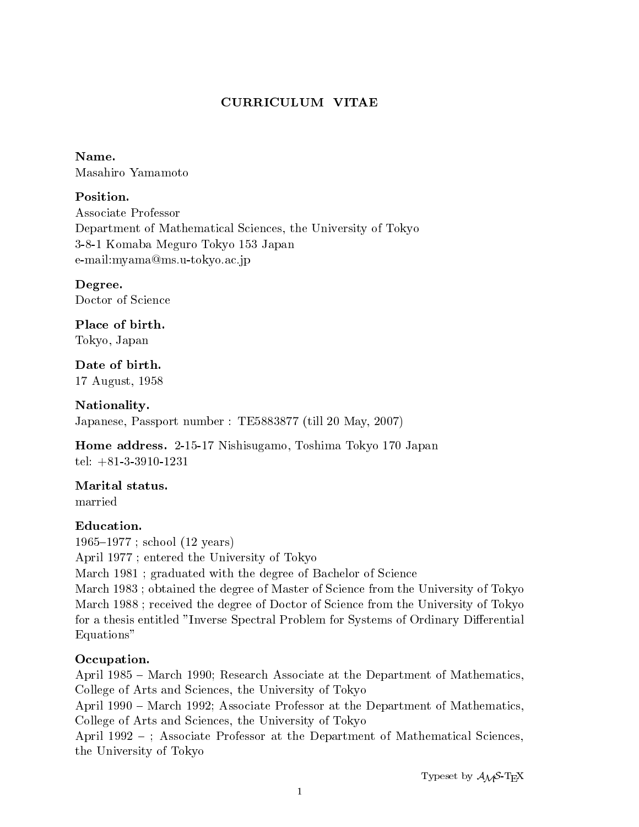# CURRICULUM VITAE

#### Name.

Masahiro Yamamoto

Associate Professor Department of Mathematical Sciences, the University of Tokyo 3-8-1 Komaba Meguro Tokyo 153 Japan e-mail:myama@ms.u-tokyo.ac.jp

Degree. Doctor of Science

Place of birth. Tokyo, Japan

Date of birth. 17 August, 1958

Nationality. Japanese, Passport number : TE5883877 (till 20 May, 2007)

Home address. 2-15-17 Nishisugamo, Toshima Tokyo 170 Japan tel: +81-3-3910-1231

# Marital status.

married

# Education.

 $1965{-}1977$ ; school (12 years) April 1977 ; entered the University of Tokyo March 1981 ; graduated with the degree of Bachelor of Science March 1983 ; obtained the degree of Master of Science from the University of Tokyo March 1988 ; received the degree of Doctor of Science from the University of Tokyo for a thesis entitled "Inverse Spectral Problem for Systems of Ordinary Differential Equations"

# Occupation.

April 1985 - March 1990; Research Associate at the Department of Mathematics, College of Arts and Sciences, the University of Tokyo

April 1990 - March 1992; Associate Professor at the Department of Mathematics, College of Arts and Sciences, the University of Tokyo

April 1992 –; Associate Professor at the Department of Mathematical Sciences, the University of Tokyo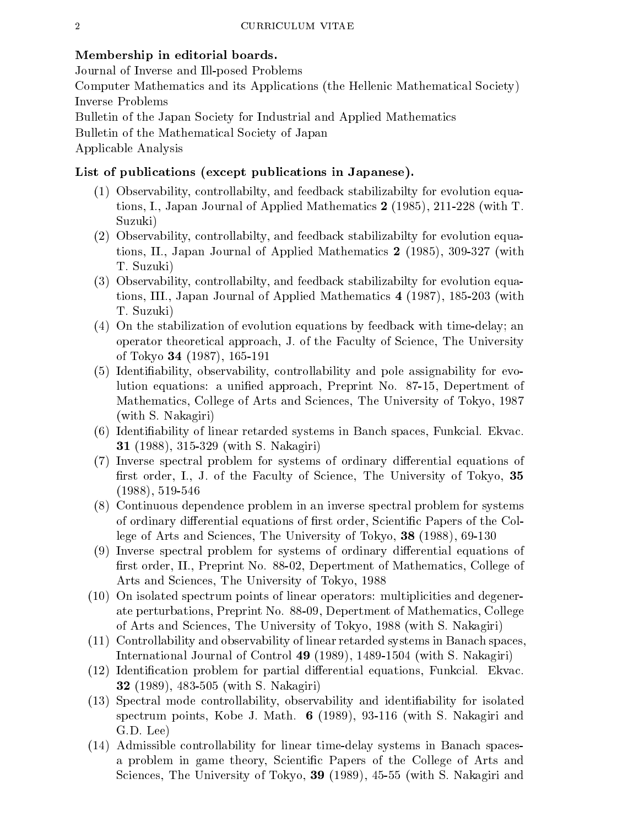#### Membership in editorial boards.

Journal of Inverse and Ill-posed Problems

Computer Mathematics and its Applications (the Hellenic Mathematical Society) Inverse Problems

Bulletin of the Japan Society for Industrial and Applied Mathematics Bulletin of the Mathematical Society of Japan

Applicable Analysis

#### List of publications (except publications in Japanese).

- (1) Observability, controllabilty, and feedback stabilizabilty for evolution equations, I., Japan Journal of Applied Mathematics 2 (1985), 211-228 (with T. Suzuki)
- (2) Observability, controllabilty, and feedback stabilizabilty for evolution equations, II., Japan Journal of Applied Mathematics 2 (1985), 309-327 (with T. Suzuki)
- (3) Observability, controllabilty, and feedback stabilizabilty for evolution equations, III., Japan Journal of Applied Mathematics 4 (1987), 185-203 (with T. Suzuki)
- (4) On the stabilization of evolution equations by feedback with time-delay; an operator theoretical approach, J. of the Faculty of Science, The University of Tokyo 34 (1987), 165-191
- (5) Identiability, observability, controllability and pole assignability for evolution equations: a unied approach, Preprint No. 87-15, Depertment of Mathematics, College of Arts and Sciences, The University of Tokyo, 1987 (with S. Nakagiri)
- (6) Identiability of linear retarded systems in Banch spaces, Funkcial. Ekvac. 31 (1988), 315-329 (with S. Nakagiri)
- (7) Inverse spectral problem for systems of ordinary differential equations of first order, I., J. of the Faculty of Science, The University of Tokyo, 35 (1988), 519-546
- (8) Continuous dependence problem in an inverse spectral problem for systems of ordinary differential equations of first order, Scientific Papers of the College of Arts and Sciences, The University of Tokyo, 38 (1988), 69-130
- (9) Inverse spectral problem for systems of ordinary differential equations of first order, II., Preprint No. 88-02, Depertment of Mathematics, College of Arts and Sciences, The University of Tokyo, 1988
- (10) On isolated spectrum points of linear operators: multiplicities and degenerate perturbations, Preprint No. 88-09, Depertment of Mathematics, College of Arts and Sciences, The University of Tokyo, 1988 (with S. Nakagiri)
- (11) Controllability and observability of linear retarded systems in Banach spaces, International Journal of Control 49 (1989), 1489-1504 (with S. Nakagiri)
- (12) Identification problem for partial differential equations, Funkcial. Ekvac. 32 (1989), 483-505 (with S. Nakagiri)
- (13) Spectral mode controllability, observability and identiability for isolated spectrum points, Kobe J. Math.  $6$  (1989), 93-116 (with S. Nakagiri and G.D. Lee)
- (14) Admissible controllability for linear time-delay systems in Banach spacesa problem in game theory, Scientic Papers of the College of Arts and Sciences, The University of Tokyo, 39 (1989), 45-55 (with S. Nakagiri and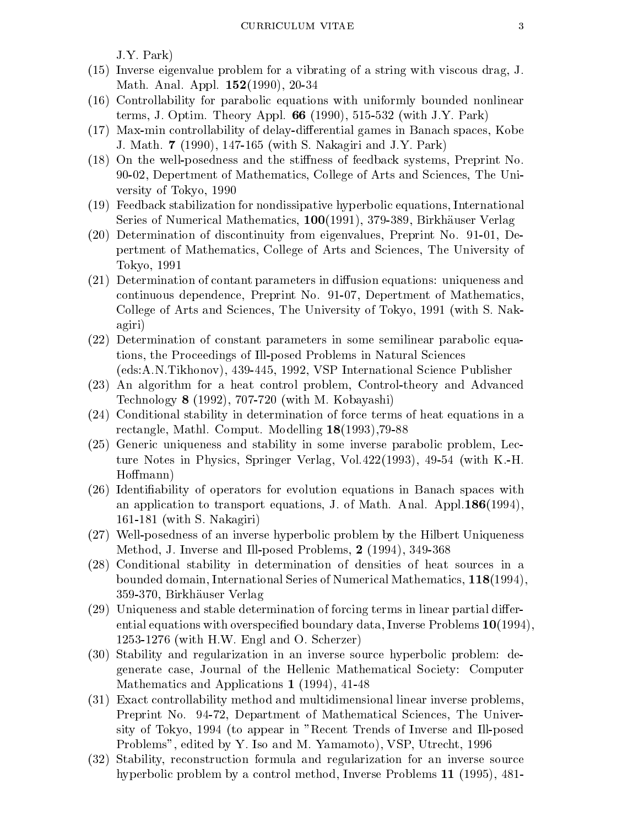J.Y. Park)

- (15) Inverse eigenvalue problem for a vibrating of a string with viscous drag, J. Math. Anal. Appl. 152(1990), 20-34
- (16) Controllability for parabolic equations with uniformly bounded nonlinear terms, J. Optim. Theory Appl. 66 (1990), 515-532 (with J.Y. Park)
- $(17)$  Max-min controllability of delay-differential games in Banach spaces, Kobe J. Math. 7 (1990), 147-165 (with S. Nakagiri and J.Y. Park)
- (18) On the well-posedness and the stiffness of feedback systems, Preprint No. 90-02, Depertment of Mathematics, College of Arts and Sciences, The University of Tokyo, 1990
- (19) Feedback stabilization for nondissipative hyperbolic equations, International Series of Numerical Mathematics, 100(1991), 379-389, Birkhauser Verlag
- (20) Determination of discontinuity from eigenvalues, Preprint No. 91-01, Depertment of Mathematics, College of Arts and Sciences, The University of Tokyo, 1991
- $(21)$  Determination of contant parameters in diffusion equations: uniqueness and continuous dependence, Preprint No. 91-07, Depertment of Mathematics, College of Arts and Sciences, The University of Tokyo, 1991 (with S. Nakagiri)
- (22) Determination of constant parameters in some semilinear parabolic equations, the Proceedings of Ill-posed Problems in Natural Sciences (eds:A.N.Tikhonov), 439-445, 1992, VSP International Science Publisher
- (23) An algorithm for a heat control problem, Control-theory and Advanced Technology 8 (1992), 707-720 (with M. Kobayashi)
- (24) Conditional stability in determination of force terms of heat equations in a rectangle, Mathl. Comput. Modelling 18(1993),79-88
- (25) Generic uniqueness and stability in some inverse parabolic problem, Lecture Notes in Physics, Springer Verlag, Vol.422(1993), 49-54 (with K.-H. Hoffmann)
- (26) Identiability of operators for evolution equations in Banach spaces with an application to transport equations, J. of Math. Anal. Appl.186(1994), 161-181 (with S. Nakagiri)
- (27) Well-posedness of an inverse hyperbolic problem by the Hilbert Uniqueness Method, J. Inverse and Ill-posed Problems, 2 (1994), 349-368
- (28) Conditional stability in determination of densities of heat sources in a bounded domain, International Series of Numerical Mathematics, 118(1994), 359-370, Birkhauser Verlag
- $(29)$  Uniqueness and stable determination of forcing terms in linear partial differential equations with overspecified boundary data, Inverse Problems 10(1994), 1253-1276 (with H.W. Engl and O. Scherzer)
- (30) Stability and regularization in an inverse source hyperbolic problem: degenerate case, Journal of the Hellenic Mathematical Society: Computer Mathematics and Applications 1 (1994), 41-48
- (31) Exact controllability method and multidimensional linear inverse problems, Preprint No. 94-72, Department of Mathematical Sciences, The University of Tokyo, 1994 (to appear in "Recent Trends of Inverse and Ill-posed Problems", edited by Y. Iso and M. Yamamoto), VSP, Utrecht, 1996
- (32) Stability, reconstruction formula and regularization for an inverse source hyperbolic problem by a control method, Inverse Problems 11 (1995), 481-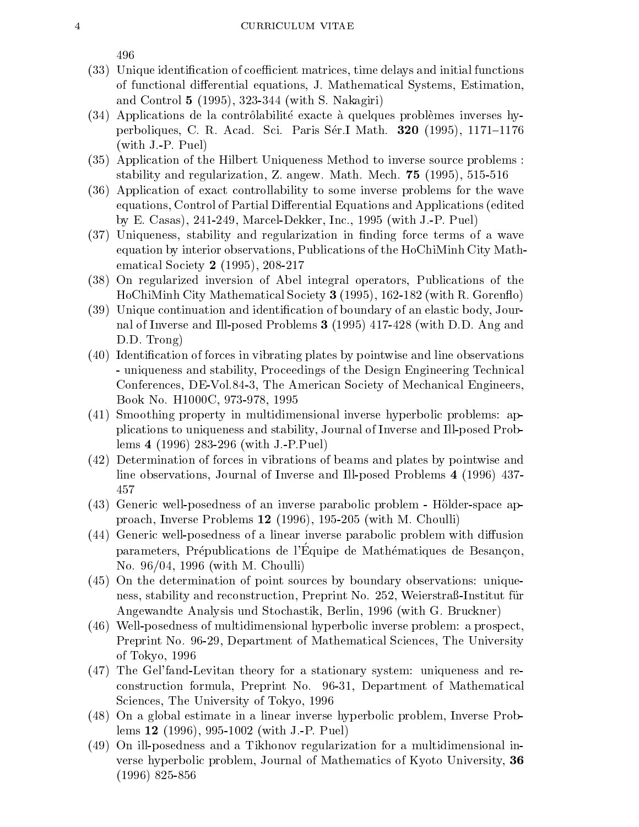- (33) Unique identification of coefficient matrices, time delays and initial functions of functional differential equations, J. Mathematical Systems, Estimation, and Control 5 (1995), 323-344 (with S. Nakagiri)
- $(34)$  Applications de la contrôlabilité exacte à quelques problèmes inverses hyperboliques, C. R. Acad. Sci. Paris Sér.I Math. **320** (1995), 1171-1176 (with J.-P. Puel)
- (35) Application of the Hilbert Uniqueness Method to inverse source problems : stability and regularization, Z. angew. Math. Mech. 75 (1995), 515-516
- (36) Application of exact controllability to some inverse problems for the wave equations, Control of Partial Differential Equations and Applications (edited by E. Casas), 241-249, Marcel-Dekker, Inc., 1995 (with J.-P. Puel)
- (37) Uniqueness, stability and regularization in nding force terms of a wave equation by interior observations, Publications of the HoChiMinh City Mathematical Society 2 (1995), 208-217
- (38) On regularized inversion of Abel integral operators, Publications of the HoChiMinh City Mathematical Society 3 (1995), 162-182 (with R. Goren
o)
- (39) Unique continuation and identication of boundary of an elastic body, Journal of Inverse and Ill-posed Problems 3 (1995) 417-428 (with D.D. Ang and D.D. Trong)
- (40) Identication of forces in vibrating plates by pointwise and line observations - uniqueness and stability, Proceedings of the Design Engineering Technical Conferences, DE-Vol.84-3, The American Society of Mechanical Engineers, Book No. H1000C, 973-978, 1995
- (41) Smoothing property in multidimensional inverse hyperbolic problems: applications to uniqueness and stability, Journal of Inverse and Ill-posed Problems 4 (1996) 283-296 (with J.-P.Puel)
- (42) Determination of forces in vibrations of beams and plates by pointwise and line observations, Journal of Inverse and Ill-posed Problems 4 (1996) 437- 457
- (43) Generic well-posedness of an inverse parabolic problem Holder-space approach, Inverse Problems 12 (1996), 195-205 (with M. Choulli)
- $(44)$  Generic well-posedness of a linear inverse parabolic problem with diffusion parameters, Prépublications de l'Équipe de Mathématiques de Besançon, No. 96/04, 1996 (with M. Choulli)
- (45) On the determination of point sources by boundary observations: uniqueness, stability and reconstruction, Preprint No. 252, Weierstraß-Institut für Angewandte Analysis und Stochastik, Berlin, 1996 (with G. Bruckner)
- (46) Well-posedness of multidimensional hyperbolic inverse problem: a prospect, Preprint No. 96-29, Department of Mathematical Sciences, The University of Tokyo, 1996
- (47) The Gel'fand-Levitan theory for a stationary system: uniqueness and reconstruction formula, Preprint No. 96-31, Department of Mathematical Sciences, The University of Tokyo, 1996
- (48) On a global estimate in a linear inverse hyperbolic problem, Inverse Problems 12 (1996), 995-1002 (with J.-P. Puel)
- (49) On ill-posedness and a Tikhonov regularization for a multidimensional inverse hyperbolic problem, Journal of Mathematics of Kyoto University, 36 (1996) 825-856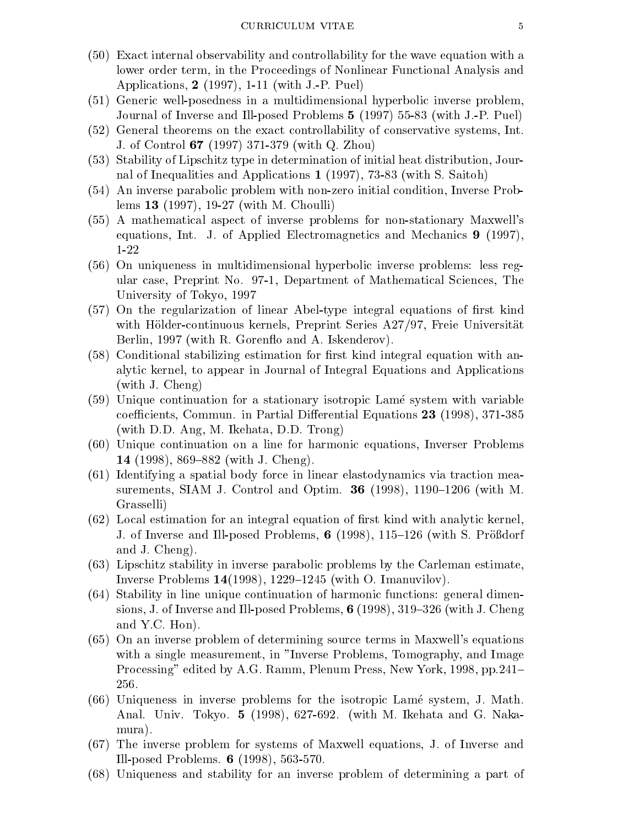- (50) Exact internal observability and controllability for the wave equation with a lower order term, in the Proceedings of Nonlinear Functional Analysis and Applications, 2 (1997), 1-11 (with J.-P. Puel)
- (51) Generic well-posedness in a multidimensional hyperbolic inverse problem, Journal of Inverse and Ill-posed Problems 5 (1997) 55-83 (with J.-P. Puel)
- (52) General theorems on the exact controllability of conservative systems, Int. J. of Control 67 (1997) 371-379 (with Q. Zhou)
- (53) Stability of Lipschitz type in determination of initial heat distribution, Journal of Inequalities and Applications 1 (1997), 73-83 (with S. Saitoh)
- (54) An inverse parabolic problem with non-zero initial condition, Inverse Problems 13 (1997), 19-27 (with M. Choulli)
- (55) A mathematical aspect of inverse problems for non-stationary Maxwell's equations, Int. J. of Applied Electromagnetics and Mechanics 9 (1997), 1-22
- (56) On uniqueness in multidimensional hyperbolic inverse problems: less regular case, Preprint No. 97-1, Department of Mathematical Sciences, The University of Tokyo, 1997
- (57) On the regularization of linear Abel-type integral equations of first kind with Hölder-continuous kernels, Preprint Series A27/97, Freie Universität Berlin, 1997 (with R. Gorenflo and A. Iskenderov).
- (58) Conditional stabilizing estimation for first kind integral equation with analytic kernel, to appear in Journal of Integral Equations and Applications (with J. Cheng)
- (59) Unique continuation for a stationary isotropic Lame system with variable coefficients, Commun. in Partial Differential Equations 23 (1998), 371-385 (with D.D. Ang, M. Ikehata, D.D. Trong)
- (60) Unique continuation on a line for harmonic equations, Inverser Problems 14 (1998), 869–882 (with J. Cheng).
- (61) Identifying a spatial body force in linear elastodynamics via traction measurements, SIAM J. Control and Optim.  $36$  (1998), 1190–1206 (with M. Grasselli)
- $(62)$  Local estimation for an integral equation of first kind with analytic kernel J. of Inverse and Ill-posed Problems, 6 (1998),  $115{-}126$  (with S. Prößdorf and J. Cheng).
- (63) Lipschitz stability in inverse parabolic problems by the Carleman estimate, Inverse Problems  $14(1998)$ , 1229-1245 (with O. Imanuvilov).
- (64) Stability in line unique continuation of harmonic functions: general dimensions, J. of Inverse and Ill-posed Problems,  $6(1998)$ , 319–326 (with J. Cheng and Y.C. Hon).
- (65) On an inverse problem of determining source terms in Maxwell's equations with a single measurement, in "Inverse Problems, Tomography, and Image Processing" edited by A.G. Ramm, Plenum Press, New York, 1998, pp.241– 256.
- (66) Uniqueness in inverse problems for the isotropic Lame system, J. Math. Anal. Univ. Tokyo. 5 (1998), 627-692. (with M. Ikehata and G. Nakamura).
- (67) The inverse problem for systems of Maxwell equations, J. of Inverse and Ill-posed Problems. 6 (1998), 563-570.
- (68) Uniqueness and stability for an inverse problem of determining a part of